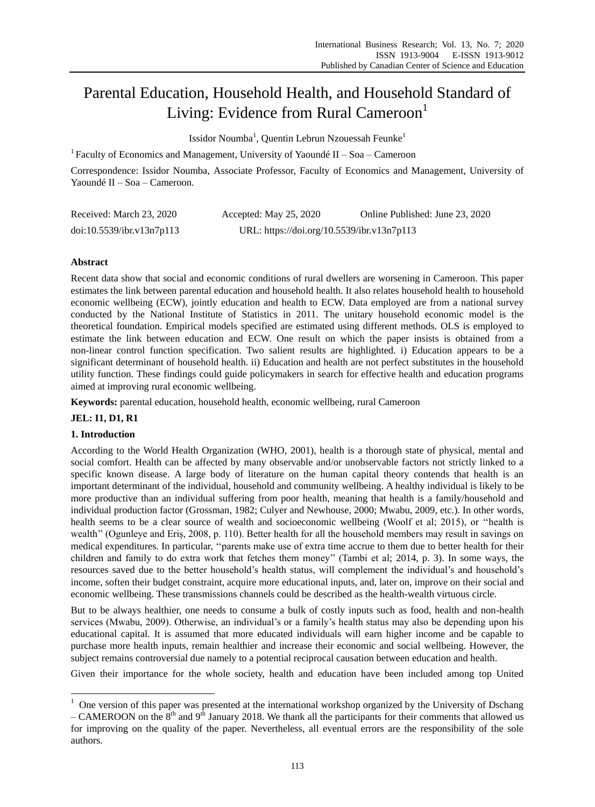# Parental Education, Household Health, and Household Standard of Living: Evidence from Rural Cameroon<sup>1</sup>

Issidor Noumba<sup>1</sup>, Quentin Lebrun Nzouessah Feunke<sup>1</sup>

<sup>1</sup> Faculty of Economics and Management, University of Yaound  $\acute{e}$  II – Soa – Cameroon

Correspondence: Issidor Noumba, Associate Professor, Faculty of Economics and Management, University of Yaoundé II – Soa – Cameroon.

| Received: March 23, 2020  | Accepted: May 25, 2020                     | Online Published: June 23, 2020 |
|---------------------------|--------------------------------------------|---------------------------------|
| doi:10.5539/ibr.v13n7p113 | URL: https://doi.org/10.5539/ibr.v13n7p113 |                                 |

# **Abstract**

Recent data show that social and economic conditions of rural dwellers are worsening in Cameroon. This paper estimates the link between parental education and household health. It also relates household health to household economic wellbeing (ECW), jointly education and health to ECW. Data employed are from a national survey conducted by the National Institute of Statistics in 2011. The unitary household economic model is the theoretical foundation. Empirical models specified are estimated using different methods. OLS is employed to estimate the link between education and ECW. One result on which the paper insists is obtained from a non-linear control function specification. Two salient results are highlighted. i) Education appears to be a significant determinant of household health. ii) Education and health are not perfect substitutes in the household utility function. These findings could guide policymakers in search for effective health and education programs aimed at improving rural economic wellbeing.

**Keywords:** parental education, household health, economic wellbeing, rural Cameroon

# **JEL: I1, D1, R1**

# **1. Introduction**

-

According to the World Health Organization (WHO, 2001), health is a thorough state of physical, mental and social comfort. Health can be affected by many observable and/or unobservable factors not strictly linked to a specific known disease. A large body of literature on the human capital theory contends that health is an important determinant of the individual, household and community wellbeing. A healthy individual is likely to be more productive than an individual suffering from poor health, meaning that health is a family/household and individual production factor (Grossman, 1982; Culyer and Newhouse, 2000; Mwabu, 2009, etc.). In other words, health seems to be a clear source of wealth and socioeconomic wellbeing (Woolf et al; 2015), or "health is wealth" (Ogunleye and Eriş, 2008, p. 110). Better health for all the household members may result in savings on medical expenditures. In particular, ""parents make use of extra time accrue to them due to better health for their children and family to do extra work that fetches them money"" (Tambi et al; 2014, p. 3). In some ways, the resources saved due to the better household's health status, will complement the individual's and household's income, soften their budget constraint, acquire more educational inputs, and, later on, improve on their social and economic wellbeing. These transmissions channels could be described as the health-wealth virtuous circle.

But to be always healthier, one needs to consume a bulk of costly inputs such as food, health and non-health services (Mwabu, 2009). Otherwise, an individual's or a family's health status may also be depending upon his educational capital. It is assumed that more educated individuals will earn higher income and be capable to purchase more health inputs, remain healthier and increase their economic and social wellbeing. However, the subject remains controversial due namely to a potential reciprocal causation between education and health.

Given their importance for the whole society, health and education have been included among top United

<sup>&</sup>lt;sup>1</sup> One version of this paper was presented at the international workshop organized by the University of Dschang

<sup>–</sup> CAMEROON on the  $8<sup>th</sup>$  and  $9<sup>th</sup>$  January 2018. We thank all the participants for their comments that allowed us for improving on the quality of the paper. Nevertheless, all eventual errors are the responsibility of the sole authors.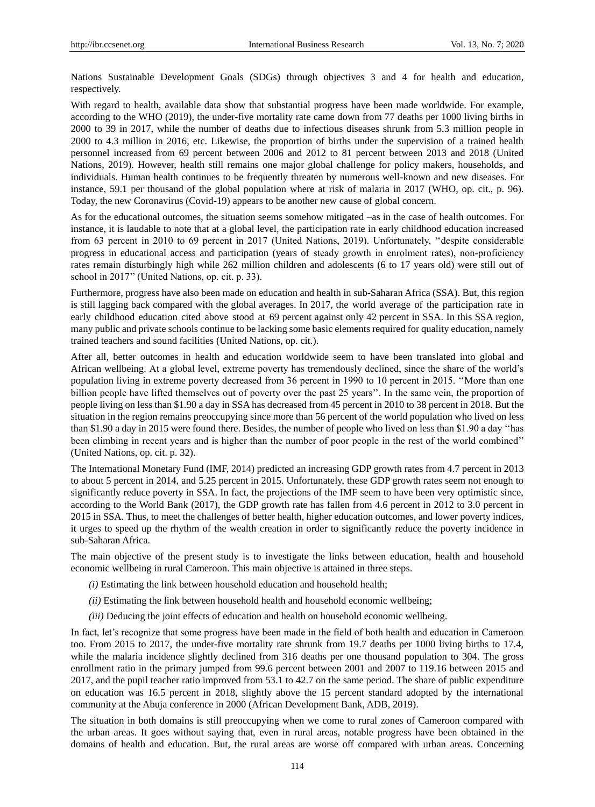Nations Sustainable Development Goals (SDGs) through objectives 3 and 4 for health and education, respectively.

With regard to health, available data show that substantial progress have been made worldwide. For example, according to the WHO (2019), the under-five mortality rate came down from 77 deaths per 1000 living births in 2000 to 39 in 2017, while the number of deaths due to infectious diseases shrunk from 5.3 million people in 2000 to 4.3 million in 2016, etc. Likewise, the proportion of births under the supervision of a trained health personnel increased from 69 percent between 2006 and 2012 to 81 percent between 2013 and 2018 (United Nations, 2019). However, health still remains one major global challenge for policy makers, households, and individuals. Human health continues to be frequently threaten by numerous well-known and new diseases. For instance, 59.1 per thousand of the global population where at risk of malaria in 2017 (WHO, op. cit., p. 96). Today, the new Coronavirus (Covid-19) appears to be another new cause of global concern.

As for the educational outcomes, the situation seems somehow mitigated –as in the case of health outcomes. For instance, it is laudable to note that at a global level, the participation rate in early childhood education increased from 63 percent in 2010 to 69 percent in 2017 (United Nations, 2019). Unfortunately, ""despite considerable progress in educational access and participation (years of steady growth in enrolment rates), non-proficiency rates remain disturbingly high while 262 million children and adolescents (6 to 17 years old) were still out of school in 2017" (United Nations, op. cit. p. 33).

Furthermore, progress have also been made on education and health in sub-Saharan Africa (SSA). But, this region is still lagging back compared with the global averages. In 2017, the world average of the participation rate in early childhood education cited above stood at 69 percent against only 42 percent in SSA. In this SSA region, many public and private schools continue to be lacking some basic elements required for quality education, namely trained teachers and sound facilities (United Nations, op. cit.).

After all, better outcomes in health and education worldwide seem to have been translated into global and African wellbeing. At a global level, extreme poverty has tremendously declined, since the share of the world"s population living in extreme poverty decreased from 36 percent in 1990 to 10 percent in 2015. ""More than one billion people have lifted themselves out of poverty over the past 25 years". In the same vein, the proportion of people living on less than \$1.90 a day in SSA has decreased from 45 percent in 2010 to 38 percent in 2018. But the situation in the region remains preoccupying since more than 56 percent of the world population who lived on less than \$1.90 a day in 2015 were found there. Besides, the number of people who lived on less than \$1.90 a day "has been climbing in recent years and is higher than the number of poor people in the rest of the world combined"" (United Nations, op. cit. p. 32).

The International Monetary Fund (IMF, 2014) predicted an increasing GDP growth rates from 4.7 percent in 2013 to about 5 percent in 2014, and 5.25 percent in 2015. Unfortunately, these GDP growth rates seem not enough to significantly reduce poverty in SSA. In fact, the projections of the IMF seem to have been very optimistic since, according to the World Bank (2017), the GDP growth rate has fallen from 4.6 percent in 2012 to 3.0 percent in 2015 in SSA. Thus, to meet the challenges of better health, higher education outcomes, and lower poverty indices, it urges to speed up the rhythm of the wealth creation in order to significantly reduce the poverty incidence in sub-Saharan Africa.

The main objective of the present study is to investigate the links between education, health and household economic wellbeing in rural Cameroon. This main objective is attained in three steps.

- *(i)* Estimating the link between household education and household health;
- *(ii)* Estimating the link between household health and household economic wellbeing;
- *(iii)* Deducing the joint effects of education and health on household economic wellbeing.

In fact, let's recognize that some progress have been made in the field of both health and education in Cameroon too. From 2015 to 2017, the under-five mortality rate shrunk from 19.7 deaths per 1000 living births to 17.4, while the malaria incidence slightly declined from 316 deaths per one thousand population to 304. The gross enrollment ratio in the primary jumped from 99.6 percent between 2001 and 2007 to 119.16 between 2015 and 2017, and the pupil teacher ratio improved from 53.1 to 42.7 on the same period. The share of public expenditure on education was 16.5 percent in 2018, slightly above the 15 percent standard adopted by the international community at the Abuja conference in 2000 (African Development Bank, ADB, 2019).

The situation in both domains is still preoccupying when we come to rural zones of Cameroon compared with the urban areas. It goes without saying that, even in rural areas, notable progress have been obtained in the domains of health and education. But, the rural areas are worse off compared with urban areas. Concerning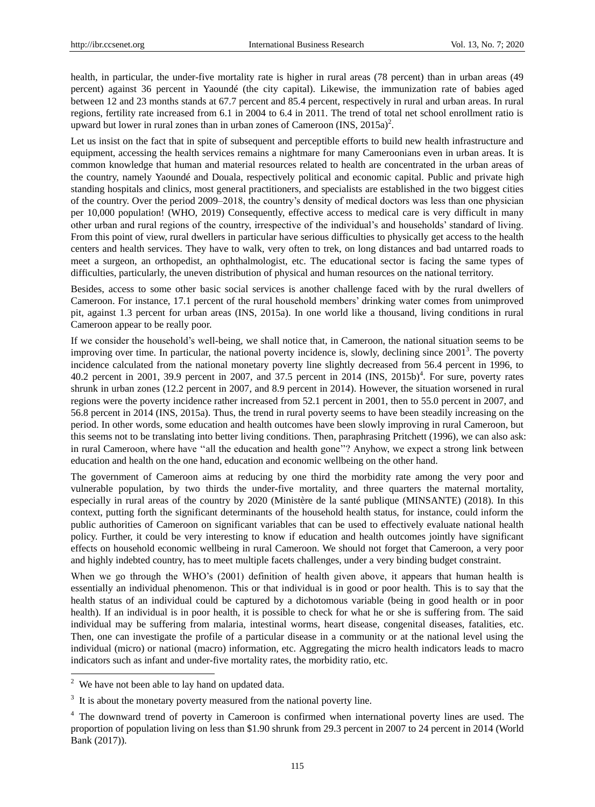health, in particular, the under-five mortality rate is higher in rural areas (78 percent) than in urban areas (49 percent) against 36 percent in Yaoundé (the city capital). Likewise, the immunization rate of babies aged between 12 and 23 months stands at 67.7 percent and 85.4 percent, respectively in rural and urban areas. In rural regions, fertility rate increased from 6.1 in 2004 to 6.4 in 2011. The trend of total net school enrollment ratio is upward but lower in rural zones than in urban zones of Cameroon  $(INS, 2015a)^2$ .

Let us insist on the fact that in spite of subsequent and perceptible efforts to build new health infrastructure and equipment, accessing the health services remains a nightmare for many Cameroonians even in urban areas. It is common knowledge that human and material resources related to health are concentrated in the urban areas of the country, namely Yaoundé and Douala, respectively political and economic capital. Public and private high standing hospitals and clinics, most general practitioners, and specialists are established in the two biggest cities of the country. Over the period 2009–2018, the country"s density of medical doctors was less than one physician per 10,000 population! (WHO, 2019) Consequently, effective access to medical care is very difficult in many other urban and rural regions of the country, irrespective of the individual"s and households" standard of living. From this point of view, rural dwellers in particular have serious difficulties to physically get access to the health centers and health services. They have to walk, very often to trek, on long distances and bad untarred roads to meet a surgeon, an orthopedist, an ophthalmologist, etc. The educational sector is facing the same types of difficulties, particularly, the uneven distribution of physical and human resources on the national territory.

Besides, access to some other basic social services is another challenge faced with by the rural dwellers of Cameroon. For instance, 17.1 percent of the rural household members" drinking water comes from unimproved pit, against 1.3 percent for urban areas (INS, 2015a). In one world like a thousand, living conditions in rural Cameroon appear to be really poor.

If we consider the household"s well-being, we shall notice that, in Cameroon, the national situation seems to be improving over time. In particular, the national poverty incidence is, slowly, declining since  $2001<sup>3</sup>$ . The poverty incidence calculated from the national monetary poverty line slightly decreased from 56.4 percent in 1996, to 40.2 percent in 2001, 39.9 percent in 2007, and 37.5 percent in 2014 (INS, 2015b)<sup>4</sup>. For sure, poverty rates shrunk in urban zones (12.2 percent in 2007, and 8.9 percent in 2014). However, the situation worsened in rural regions were the poverty incidence rather increased from 52.1 percent in 2001, then to 55.0 percent in 2007, and 56.8 percent in 2014 (INS, 2015a). Thus, the trend in rural poverty seems to have been steadily increasing on the period. In other words, some education and health outcomes have been slowly improving in rural Cameroon, but this seems not to be translating into better living conditions. Then, paraphrasing Pritchett (1996), we can also ask: in rural Cameroon, where have "all the education and health gone"? Anyhow, we expect a strong link between education and health on the one hand, education and economic wellbeing on the other hand.

The government of Cameroon aims at reducing by one third the morbidity rate among the very poor and vulnerable population, by two thirds the under-five mortality, and three quarters the maternal mortality, especially in rural areas of the country by 2020 (Ministère de la santé publique (MINSANTE) (2018). In this context, putting forth the significant determinants of the household health status, for instance, could inform the public authorities of Cameroon on significant variables that can be used to effectively evaluate national health policy. Further, it could be very interesting to know if education and health outcomes jointly have significant effects on household economic wellbeing in rural Cameroon. We should not forget that Cameroon, a very poor and highly indebted country, has to meet multiple facets challenges, under a very binding budget constraint.

When we go through the WHO's (2001) definition of health given above, it appears that human health is essentially an individual phenomenon. This or that individual is in good or poor health. This is to say that the health status of an individual could be captured by a dichotomous variable (being in good health or in poor health). If an individual is in poor health, it is possible to check for what he or she is suffering from. The said individual may be suffering from malaria, intestinal worms, heart disease, congenital diseases, fatalities, etc. Then, one can investigate the profile of a particular disease in a community or at the national level using the individual (micro) or national (macro) information, etc. Aggregating the micro health indicators leads to macro indicators such as infant and under-five mortality rates, the morbidity ratio, etc.

-

<sup>&</sup>lt;sup>2</sup> We have not been able to lay hand on updated data.

 $3\,$  It is about the monetary poverty measured from the national poverty line.

<sup>4</sup> The downward trend of poverty in Cameroon is confirmed when international poverty lines are used. The proportion of population living on less than \$1.90 shrunk from 29.3 percent in 2007 to 24 percent in 2014 (World Bank (2017)).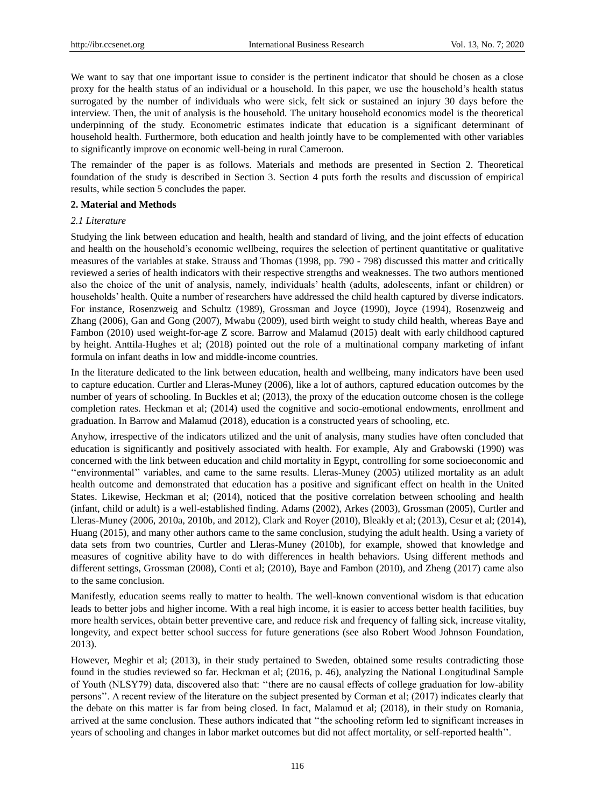We want to say that one important issue to consider is the pertinent indicator that should be chosen as a close proxy for the health status of an individual or a household. In this paper, we use the household"s health status surrogated by the number of individuals who were sick, felt sick or sustained an injury 30 days before the interview. Then, the unit of analysis is the household. The unitary household economics model is the theoretical underpinning of the study. Econometric estimates indicate that education is a significant determinant of household health. Furthermore, both education and health jointly have to be complemented with other variables to significantly improve on economic well-being in rural Cameroon.

The remainder of the paper is as follows. Materials and methods are presented in Section 2. Theoretical foundation of the study is described in Section 3. Section 4 puts forth the results and discussion of empirical results, while section 5 concludes the paper.

## **2. Material and Methods**

# *2.1 Literature*

Studying the link between education and health, health and standard of living, and the joint effects of education and health on the household"s economic wellbeing, requires the selection of pertinent quantitative or qualitative measures of the variables at stake. Strauss and Thomas (1998, pp. 790 - 798) discussed this matter and critically reviewed a series of health indicators with their respective strengths and weaknesses. The two authors mentioned also the choice of the unit of analysis, namely, individuals" health (adults, adolescents, infant or children) or households" health. Quite a number of researchers have addressed the child health captured by diverse indicators. For instance, Rosenzweig and Schultz (1989), Grossman and Joyce (1990), Joyce (1994), Rosenzweig and Zhang (2006), Gan and Gong (2007), Mwabu (2009), used birth weight to study child health, whereas Baye and Fambon (2010) used weight-for-age Z score. Barrow and Malamud (2015) dealt with early childhood captured by height. Anttila-Hughes et al; (2018) pointed out the role of a multinational company marketing of infant formula on infant deaths in low and middle-income countries.

In the literature dedicated to the link between education, health and wellbeing, many indicators have been used to capture education. Curtler and Lleras-Muney (2006), like a lot of authors, captured education outcomes by the number of years of schooling. In Buckles et al; (2013), the proxy of the education outcome chosen is the college completion rates. Heckman et al; (2014) used the cognitive and socio-emotional endowments, enrollment and graduation. In Barrow and Malamud (2018), education is a constructed years of schooling, etc.

Anyhow, irrespective of the indicators utilized and the unit of analysis, many studies have often concluded that education is significantly and positively associated with health. For example, Aly and Grabowski (1990) was concerned with the link between education and child mortality in Egypt, controlling for some socioeconomic and ""environmental"" variables, and came to the same results. Lleras-Muney (2005) utilized mortality as an adult health outcome and demonstrated that education has a positive and significant effect on health in the United States. Likewise, Heckman et al; (2014), noticed that the positive correlation between schooling and health (infant, child or adult) is a well-established finding. Adams (2002), Arkes (2003), Grossman (2005), Curtler and Lleras-Muney (2006, 2010a, 2010b, and 2012), Clark and Royer (2010), Bleakly et al; (2013), Cesur et al; (2014), Huang (2015), and many other authors came to the same conclusion, studying the adult health. Using a variety of data sets from two countries, Curtler and Lleras-Muney (2010b), for example, showed that knowledge and measures of cognitive ability have to do with differences in health behaviors. Using different methods and different settings, Grossman (2008), Conti et al; (2010), Baye and Fambon (2010), and Zheng (2017) came also to the same conclusion.

Manifestly, education seems really to matter to health. The well-known conventional wisdom is that education leads to better jobs and higher income. With a real high income, it is easier to access better health facilities, buy more health services, obtain better preventive care, and reduce risk and frequency of falling sick, increase vitality, longevity, and expect better school success for future generations (see also Robert Wood Johnson Foundation, 2013).

However, Meghir et al; (2013), in their study pertained to Sweden, obtained some results contradicting those found in the studies reviewed so far. Heckman et al; (2016, p. 46), analyzing the National Longitudinal Sample of Youth (NLSY79) data, discovered also that: ""there are no causal effects of college graduation for low-ability persons"". A recent review of the literature on the subject presented by Corman et al; (2017) indicates clearly that the debate on this matter is far from being closed. In fact, Malamud et al; (2018), in their study on Romania, arrived at the same conclusion. These authors indicated that ""the schooling reform led to significant increases in years of schooling and changes in labor market outcomes but did not affect mortality, or self-reported health"".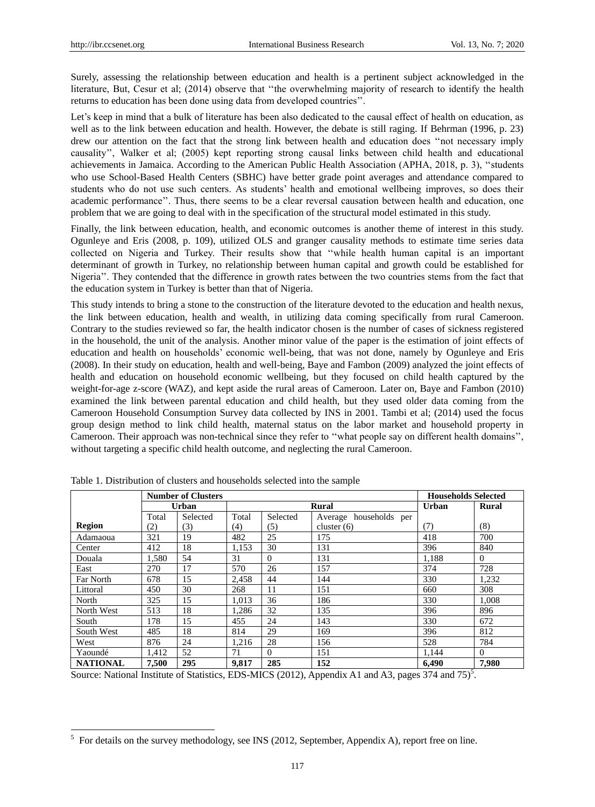-

Surely, assessing the relationship between education and health is a pertinent subject acknowledged in the literature, But, Cesur et al; (2014) observe that ""the overwhelming majority of research to identify the health returns to education has been done using data from developed countries".

Let's keep in mind that a bulk of literature has been also dedicated to the causal effect of health on education, as well as to the link between education and health. However, the debate is still raging. If Behrman (1996, p. 23) drew our attention on the fact that the strong link between health and education does ""not necessary imply causality"", Walker et al; (2005) kept reporting strong causal links between child health and educational achievements in Jamaica. According to the American Public Health Association (APHA, 2018, p. 3), "students who use School-Based Health Centers (SBHC) have better grade point averages and attendance compared to students who do not use such centers. As students" health and emotional wellbeing improves, so does their academic performance". Thus, there seems to be a clear reversal causation between health and education, one problem that we are going to deal with in the specification of the structural model estimated in this study.

Finally, the link between education, health, and economic outcomes is another theme of interest in this study. Ogunleye and Eris (2008, p. 109), utilized OLS and granger causality methods to estimate time series data collected on Nigeria and Turkey. Their results show that ""while health human capital is an important determinant of growth in Turkey, no relationship between human capital and growth could be established for Nigeria". They contended that the difference in growth rates between the two countries stems from the fact that the education system in Turkey is better than that of Nigeria.

This study intends to bring a stone to the construction of the literature devoted to the education and health nexus, the link between education, health and wealth, in utilizing data coming specifically from rural Cameroon. Contrary to the studies reviewed so far, the health indicator chosen is the number of cases of sickness registered in the household, the unit of the analysis. Another minor value of the paper is the estimation of joint effects of education and health on households" economic well-being, that was not done, namely by Ogunleye and Eris (2008). In their study on education, health and well-being, Baye and Fambon (2009) analyzed the joint effects of health and education on household economic wellbeing, but they focused on child health captured by the weight-for-age z-score (WAZ), and kept aside the rural areas of Cameroon. Later on, Baye and Fambon (2010) examined the link between parental education and child health, but they used older data coming from the Cameroon Household Consumption Survey data collected by INS in 2001. Tambi et al; (2014) used the focus group design method to link child health, maternal status on the labor market and household property in Cameroon. Their approach was non-technical since they refer to "what people say on different health domains", without targeting a specific child health outcome, and neglecting the rural Cameroon.

|                 | <b>Number of Clusters</b> |          |       |          | <b>Households Selected</b> |       |              |
|-----------------|---------------------------|----------|-------|----------|----------------------------|-------|--------------|
|                 |                           | Urban    |       |          | <b>Rural</b>               | Urban | <b>Rural</b> |
|                 | Total                     | Selected | Total | Selected | households per<br>Average  |       |              |
| <b>Region</b>   | (2)                       | (3)      | (4)   | (5)      | cluster $(6)$              | (7)   | (8)          |
| Adamaoua        | 321                       | 19       | 482   | 25       | 175                        | 418   | 700          |
| Center          | 412                       | 18       | 1,153 | 30       | 131                        | 396   | 840          |
| Douala          | 1,580                     | 54       | 31    | $\Omega$ | 131                        | 1.188 | $\Omega$     |
| East            | 270                       | 17       | 570   | 26       | 157                        | 374   | 728          |
| Far North       | 678                       | 15       | 2.458 | 44       | 144                        | 330   | 1,232        |
| Littoral        | 450                       | 30       | 268   | 11       | 151                        | 660   | 308          |
| North           | 325                       | 15       | 1.013 | 36       | 186                        | 330   | 1.008        |
| North West      | 513                       | 18       | 1.286 | 32       | 135                        | 396   | 896          |
| South           | 178                       | 15       | 455   | 24       | 143                        | 330   | 672          |
| South West      | 485                       | 18       | 814   | 29       | 169                        | 396   | 812          |
| West            | 876                       | 24       | 1.216 | 28       | 156                        | 528   | 784          |
| Yaound é        | 1.412                     | 52       | 71    | $\Omega$ | 151                        | 1.144 | $\Omega$     |
| <b>NATIONAL</b> | 7,500                     | 295      | 9.817 | 285      | 152                        | 6.490 | 7.980        |

Table 1. Distribution of clusters and households selected into the sample

Source: National Institute of Statistics, EDS-MICS (2012), Appendix A1 and A3, pages 374 and 75)<sup>5</sup>.

 $<sup>5</sup>$  For details on the survey methodology, see INS (2012, September, Appendix A), report free on line.</sup>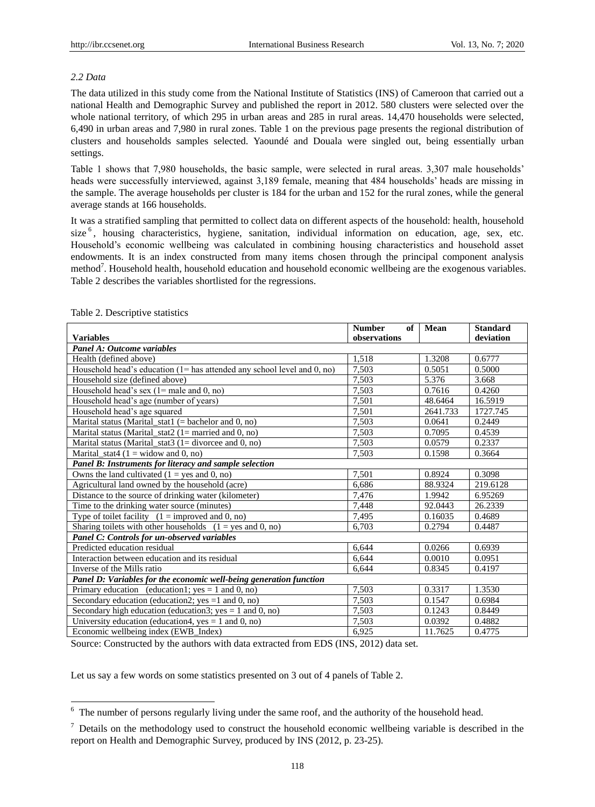# *2.2 Data*

The data utilized in this study come from the National Institute of Statistics (INS) of Cameroon that carried out a national Health and Demographic Survey and published the report in 2012. 580 clusters were selected over the whole national territory, of which 295 in urban areas and 285 in rural areas. 14,470 households were selected, 6,490 in urban areas and 7,980 in rural zones. Table 1 on the previous page presents the regional distribution of clusters and households samples selected. Yaoundé and Douala were singled out, being essentially urban settings.

Table 1 shows that 7,980 households, the basic sample, were selected in rural areas. 3,307 male households" heads were successfully interviewed, against 3,189 female, meaning that 484 households' heads are missing in the sample. The average households per cluster is 184 for the urban and 152 for the rural zones, while the general average stands at 166 households.

It was a stratified sampling that permitted to collect data on different aspects of the household: health, household size<sup>6</sup>, housing characteristics, hygiene, sanitation, individual information on education, age, sex, etc. Household"s economic wellbeing was calculated in combining housing characteristics and household asset endowments. It is an index constructed from many items chosen through the principal component analysis method<sup>7</sup>. Household health, household education and household economic wellbeing are the exogenous variables. Table 2 describes the variables shortlisted for the regressions.

|                                                                               | <b>Number</b><br>of | Mean     | <b>Standard</b> |  |  |
|-------------------------------------------------------------------------------|---------------------|----------|-----------------|--|--|
| <b>Variables</b>                                                              | observations        |          | deviation       |  |  |
| Panel A: Outcome variables                                                    |                     |          |                 |  |  |
| Health (defined above)                                                        | 1,518               | 1.3208   | 0.6777          |  |  |
| Household head's education $(1 =$ has attended any school level and $(0, no)$ | 7.503               | 0.5051   | 0.5000          |  |  |
| Household size (defined above)                                                | 7,503               | 5.376    | 3.668           |  |  |
| Household head's sex $(1=$ male and 0, no)                                    | 7,503               | 0.7616   | 0.4260          |  |  |
| Household head's age (number of years)                                        | 7,501               | 48.6464  | 16.5919         |  |  |
| Household head's age squared                                                  | 7,501               | 2641.733 | 1727.745        |  |  |
| Marital status (Marital_stat1 $(=$ bachelor and 0, no)                        | 7,503               | 0.0641   | 0.2449          |  |  |
| Marital status (Marital_stat2 $(1=$ married and 0, no)                        | 7,503               | 0.7095   | 0.4539          |  |  |
| Marital status (Marital_stat3 $(1 = \text{divorce and } 0, \text{no})$        | 7,503               | 0.0579   | 0.2337          |  |  |
| Marital_stat4 ( $1 =$ widow and 0, no)                                        | 7,503               | 0.1598   | 0.3664          |  |  |
| Panel B: Instruments for literacy and sample selection                        |                     |          |                 |  |  |
| Owns the land cultivated $(1 = yes \text{ and } 0, \text{ no})$               | 7,501               | 0.8924   | 0.3098          |  |  |
| Agricultural land owned by the household (acre)                               | 6.686               | 88.9324  | 219.6128        |  |  |
| Distance to the source of drinking water (kilometer)                          | 7,476               | 1.9942   | 6.95269         |  |  |
| Time to the drinking water source (minutes)                                   | 7,448               | 92.0443  | 26.2339         |  |  |
| Type of toilet facility $(1 = \text{improved}$ and 0, no)                     | 7,495               | 0.16035  | 0.4689          |  |  |
| Sharing toilets with other households $(1 = yes \text{ and } 0, \text{ no})$  | 6.703               | 0.2794   | 0.4487          |  |  |
| Panel C: Controls for un-observed variables                                   |                     |          |                 |  |  |
| Predicted education residual                                                  | 6,644               | 0.0266   | 0.6939          |  |  |
| Interaction between education and its residual                                | 6,644               | 0.0010   | 0.0951          |  |  |
| Inverse of the Mills ratio                                                    | 6,644               | 0.8345   | 0.4197          |  |  |
| Panel D: Variables for the economic well-being generation function            |                     |          |                 |  |  |
| Primary education (education1; $yes = 1$ and 0, no)                           | 7,503               | 0.3317   | 1.3530          |  |  |
| Secondary education (education2; yes $=1$ and 0, no)                          | 7.503               | 0.1547   | 0.6984          |  |  |
| Secondary high education (education3; yes = 1 and 0, no)                      | 7,503               | 0.1243   | 0.8449          |  |  |
| University education (education4, yes $= 1$ and 0, no)                        | 7,503               | 0.0392   | 0.4882          |  |  |
| Economic wellbeing index (EWB_Index)                                          | 6,925               | 11.7625  | 0.4775          |  |  |

# Table 2. Descriptive statistics

-

Source: Constructed by the authors with data extracted from EDS (INS, 2012) data set.

Let us say a few words on some statistics presented on 3 out of 4 panels of Table 2.

 $6\,$  The number of persons regularly living under the same roof, and the authority of the household head.

 $\frac{7}{1}$  Details on the methodology used to construct the household economic wellbeing variable is described in the report on Health and Demographic Survey, produced by INS (2012, p. 23-25).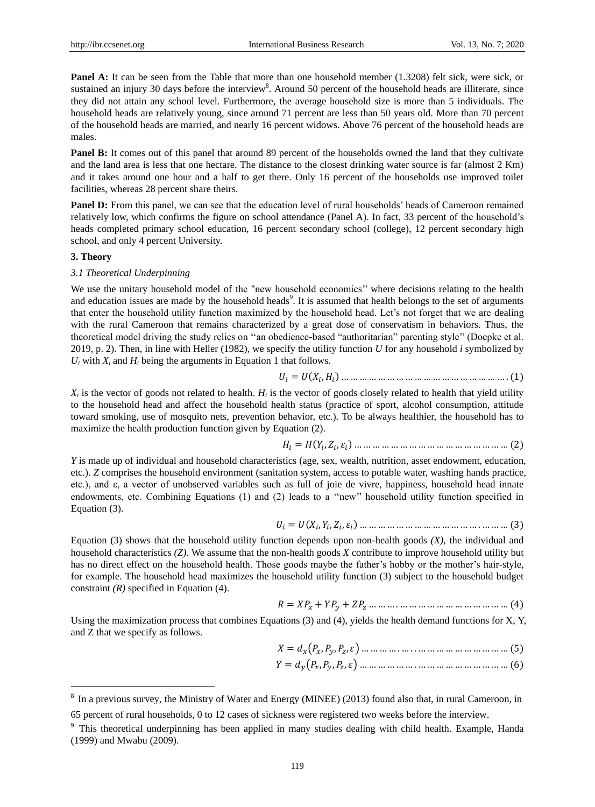**Panel A:** It can be seen from the Table that more than one household member (1.3208) felt sick, were sick, or sustained an injury 30 days before the interview<sup>8</sup>. Around 50 percent of the household heads are illiterate, since they did not attain any school level. Furthermore, the average household size is more than 5 individuals. The household heads are relatively young, since around 71 percent are less than 50 years old. More than 70 percent of the household heads are married, and nearly 16 percent widows. Above 76 percent of the household heads are males.

**Panel B:** It comes out of this panel that around 89 percent of the households owned the land that they cultivate and the land area is less that one hectare. The distance to the closest drinking water source is far (almost 2 Km) and it takes around one hour and a half to get there. Only 16 percent of the households use improved toilet facilities, whereas 28 percent share theirs.

**Panel D:** From this panel, we can see that the education level of rural households' heads of Cameroon remained relatively low, which confirms the figure on school attendance (Panel A). In fact, 33 percent of the household"s heads completed primary school education, 16 percent secondary school (college), 12 percent secondary high school, and only 4 percent University.

## **3. Theory**

-

# *3.1 Theoretical Underpinning*

We use the unitary household model of the "new household economics" where decisions relating to the health and education issues are made by the household heads<sup>9</sup>. It is assumed that health belongs to the set of arguments that enter the household utility function maximized by the household head. Let"s not forget that we are dealing with the rural Cameroon that remains characterized by a great dose of conservatism in behaviors. Thus, the theoretical model driving the study relies on ""an obedience-based "authoritarian" parenting style"" (Doepke et al. 2019, p. 2). Then, in line with Heller (1982), we specify the utility function *U* for any household *i* symbolized by  $U_i$  with  $X_i$  and  $H_i$  being the arguments in Equation 1 that follows.

$$
U_i = U(X_i, H_i) \dots \dots \dots \dots \dots \dots \dots \dots \dots \dots \dots \dots \dots \dots \dots \dots \dots (1)
$$

 $X_i$  is the vector of goods not related to health.  $H_i$  is the vector of goods closely related to health that yield utility to the household head and affect the household health status (practice of sport, alcohol consumption, attitude toward smoking, use of mosquito nets, prevention behavior, etc.). To be always healthier, the household has to maximize the health production function given by Equation (2).

$$
H_i = H(Y_i, Z_i, \varepsilon_i) \dots \dots \dots \dots \dots \dots \dots \dots \dots \dots \dots \dots \dots \dots \dots \dots (2)
$$

*Y* is made up of individual and household characteristics (age, sex, wealth, nutrition, asset endowment, education, etc.). *Z* comprises the household environment (sanitation system, access to potable water, washing hands practice, etc.), and ε, a vector of unobserved variables such as full of joie de vivre, happiness, household head innate endowments, etc. Combining Equations (1) and (2) leads to a ""new"" household utility function specified in Equation (3).

 = ( , , , ) … … … … … … … … … … … … … . … … … (3)

Equation (3) shows that the household utility function depends upon non-health goods *(X)*, the individual and household characteristics *(Z)*. We assume that the non-health goods *X* contribute to improve household utility but has no direct effect on the household health. Those goods maybe the father"s hobby or the mother"s hair-style, for example. The household head maximizes the household utility function (3) subject to the household budget constraint *(R)* specified in Equation (4).

$$
R = XP_x + YP_y + ZP_z \dots \dots \dots \dots \dots \dots \dots \dots \dots \dots \dots \dots \dots \dots (4)
$$

Using the maximization process that combines Equations (3) and (4), yields the health demand functions for X, Y, and Z that we specify as follows.

 = (, , , ) … … … … . … . . … … … … … … … … … … (5)

$$
Y = d_{y}(P_{x}, P_{y}, P_{z}, \varepsilon) \dots \dots \dots \dots \dots \dots \dots \dots \dots \dots \dots \dots \dots \dots \dots (6)
$$

<sup>&</sup>lt;sup>8</sup> In a previous survey, the Ministry of Water and Energy (MINEE) (2013) found also that, in rural Cameroon, in 65 percent of rural households, 0 to 12 cases of sickness were registered two weeks before the interview.

<sup>9</sup> This theoretical underpinning has been applied in many studies dealing with child health. Example, Handa (1999) and Mwabu (2009).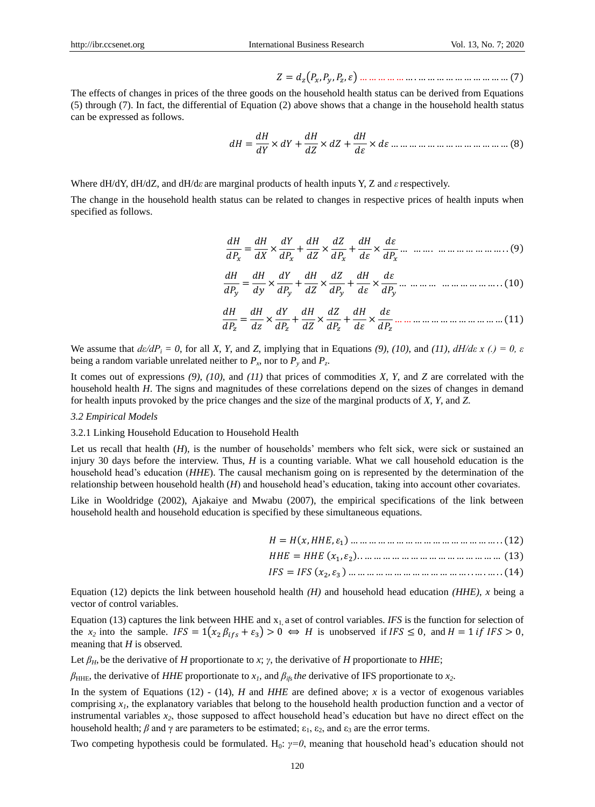$$
Z = d_z(P_x, P_y, P_z, \varepsilon) \dots \dots \dots \dots \dots \dots \dots \dots \dots \dots \dots \dots \dots \dots \dots \dots (7)
$$

The effects of changes in prices of the three goods on the household health status can be derived from Equations (5) through (7). In fact, the differential of Equation (2) above shows that a change in the household health status can be expressed as follows.

$$
dH = \frac{dH}{dY} \times dY + \frac{dH}{dZ} \times dZ + \frac{dH}{d\varepsilon} \times d\varepsilon \dots \dots \dots \dots \dots \dots \dots \dots \dots \dots \dots \dots \dots \dots \dots \dots \tag{8}
$$

Where dH/dY, dH/dZ, and dH/d*ε* are marginal products of health inputs Y, Z and *ε*respectively.

The change in the household health status can be related to changes in respective prices of health inputs when specified as follows.

$$
\frac{dH}{dP_x} = \frac{dH}{dX} \times \frac{dY}{dP_x} + \frac{dH}{dZ} \times \frac{dZ}{dP_x} + \frac{dH}{d\varepsilon} \times \frac{d\varepsilon}{dP_x} \dots \dots \dots \dots \dots \dots \dots \dots \dots \dots \dots \dots \dots \tag{9}
$$

$$
\frac{dH}{dP_y} = \frac{dH}{dy} \times \frac{dY}{dP_y} + \frac{dH}{dZ} \times \frac{dZ}{dP_y} + \frac{dH}{d\varepsilon} \times \frac{d\varepsilon}{dP_y} \dots \dots \dots \dots \dots \dots \dots \dots \dots \dots \dots \dots \tag{10}
$$

 = <sup>×</sup> + <sup>×</sup> + <sup>×</sup> … … … … … … … … … … … … (11)

We assume that  $d\varepsilon/dP_i = 0$ , for all *X*, *Y*, and *Z*, implying that in Equations (9), (10), and (11),  $dH/d\varepsilon x$  (.) = 0,  $\varepsilon$ being a random variable unrelated neither to  $P_x$ , nor to  $P_y$  and  $P_z$ .

It comes out of expressions *(9)*, *(10)*, and *(11)* that prices of commodities *X*, *Y*, and *Z* are correlated with the household health *H*. The signs and magnitudes of these correlations depend on the sizes of changes in demand for health inputs provoked by the price changes and the size of the marginal products of *X*, *Y*, and *Z*.

#### *3.2 Empirical Models*

#### 3.2.1 Linking Household Education to Household Health

Let us recall that health (*H*), is the number of households' members who felt sick, were sick or sustained an injury 30 days before the interview. Thus, *H* is a counting variable. What we call household education is the household head"s education (*HHE*). The causal mechanism going on is represented by the determination of the relationship between household health (*H*) and household head"s education, taking into account other covariates.

Like in Wooldridge (2002), Ajakaiye and Mwabu (2007), the empirical specifications of the link between household health and household education is specified by these simultaneous equations.

- = (, , <sup>1</sup> ) … … … … … … … … … … … … … … … … . . (12)
- = (<sup>1</sup> , <sup>2</sup> ). . … … … … … … … … … … … … … … … (13)
- = (<sup>2</sup> , <sup>3</sup> ) … … … … … … … … … … … … … . . … . … . . (14)

Equation (12) depicts the link between household health *(H)* and household head education *(HHE)*, *x* being a vector of control variables.

Equation (13) captures the link between HHE and  $x_1$  a set of control variables. *IFS* is the function for selection of the  $x_2$  into the sample.  $IFS = 1(x_2 \beta_{ifs} + \varepsilon_3) > 0 \Leftrightarrow H$  is unobserved if  $IFS \le 0$ , and  $H = 1$  if  $IFS > 0$ , meaning that *H* is observed*.* 

Let  $\beta_H$ , be the derivative of *H* proportionate to *x*; *γ*, the derivative of *H* proportionate to *HHE*;

 $\beta$ <sub>HHE</sub>, the derivative of *HHE* proportionate to *x*<sub>*i*</sub>, and  $\beta$ <sub>*ifs</sub> the* derivative of IFS proportionate to *x*<sub>2</sub>.</sub>

In the system of Equations (12) - (14), *H* and *HHE* are defined above; *x* is a vector of exogenous variables comprising *x1*, the explanatory variables that belong to the household health production function and a vector of instrumental variables  $x_2$ , those supposed to affect household head's education but have no direct effect on the household health; *β* and γ are parameters to be estimated;  $\epsilon_1$ ,  $\epsilon_2$ , and  $\epsilon_3$  are the error terms.

Two competing hypothesis could be formulated. H<sub>0</sub>:  $\gamma=0$ , meaning that household head's education should not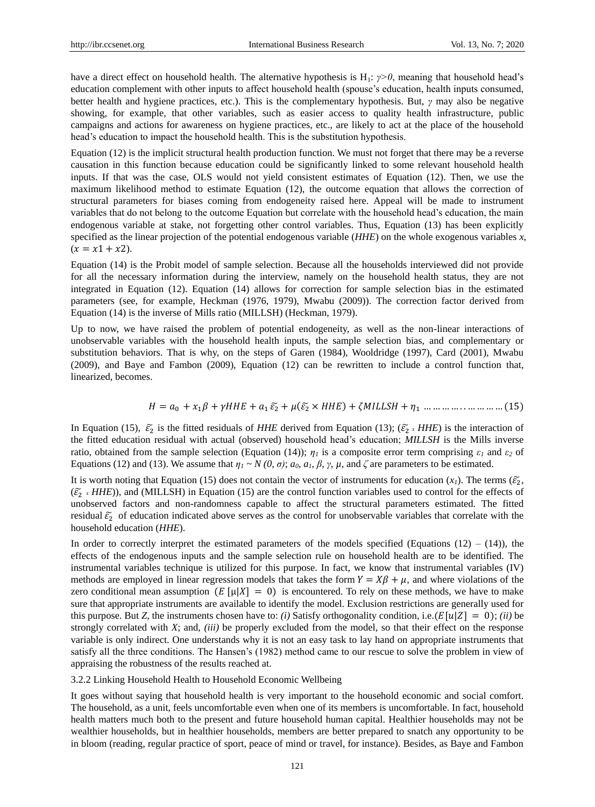have a direct effect on household health. The alternative hypothesis is H<sub>1</sub>: *γ*>0, meaning that household head's education complement with other inputs to affect household health (spouse"s education, health inputs consumed, better health and hygiene practices, etc.). This is the complementary hypothesis. But, *γ* may also be negative showing, for example, that other variables, such as easier access to quality health infrastructure, public campaigns and actions for awareness on hygiene practices, etc., are likely to act at the place of the household head"s education to impact the household health. This is the substitution hypothesis.

Equation (12) is the implicit structural health production function. We must not forget that there may be a reverse causation in this function because education could be significantly linked to some relevant household health inputs. If that was the case, OLS would not yield consistent estimates of Equation (12). Then, we use the maximum likelihood method to estimate Equation (12), the outcome equation that allows the correction of structural parameters for biases coming from endogeneity raised here. Appeal will be made to instrument variables that do not belong to the outcome Equation but correlate with the household head"s education, the main endogenous variable at stake, not forgetting other control variables. Thus, Equation (13) has been explicitly specified as the linear projection of the potential endogenous variable (*HHE*) on the whole exogenous variables *x*,  $(x = x1 + x2)$ .

Equation (14) is the Probit model of sample selection. Because all the households interviewed did not provide for all the necessary information during the interview, namely on the household health status, they are not integrated in Equation (12). Equation (14) allows for correction for sample selection bias in the estimated parameters (see, for example, Heckman (1976, 1979), Mwabu (2009)). The correction factor derived from Equation (14) is the inverse of Mills ratio (MILLSH) (Heckman, 1979).

Up to now, we have raised the problem of potential endogeneity, as well as the non-linear interactions of unobservable variables with the household health inputs, the sample selection bias, and complementary or substitution behaviors. That is why, on the steps of Garen (1984), Wooldridge (1997), Card (2001), Mwabu (2009), and Baye and Fambon (2009), Equation (12) can be rewritten to include a control function that, linearized, becomes.

= <sup>0</sup> + 1 + + <sup>1</sup> ̃<sup>2</sup> + (̃<sup>2</sup> × ) + + <sup>1</sup> … … … … . . … … … … (15)

In Equation (15),  $\tilde{\varepsilon}_2$  is the fitted residuals of *HHE* derived from Equation (13); ( $\tilde{\varepsilon}_2$  *x HHE*) is the interaction of the fitted education residual with actual (observed) household head"s education; *MILLSH* is the Mills inverse ratio, obtained from the sample selection (Equation (14)); *ε<sup>1</sup>* is a composite error term comprising *ε<sup>1</sup>* and *ε<sup>2</sup>* of Equations (12) and (13). We assume that  $η<sub>1</sub> ~ N(0, σ)$ ;  $a<sub>0</sub>, a<sub>1</sub>, β, γ, μ$ , and  $ζ$  are parameters to be estimated.

It is worth noting that Equation (15) does not contain the vector of instruments for education  $(x_1)$ . The terms  $(\tilde{\varepsilon}_2)$ ,  $(\widetilde{\varepsilon}_2 \times HHE)$ ), and (MILLSH) in Equation (15) are the control function variables used to control for the effects of unobserved factors and non-randomness capable to affect the structural parameters estimated. The fitted residual  $\tilde{\varepsilon}_2$  of education indicated above serves as the control for unobservable variables that correlate with the household education (*HHE*).

In order to correctly interpret the estimated parameters of the models specified (Equations  $(12) - (14)$ ), the effects of the endogenous inputs and the sample selection rule on household health are to be identified. The instrumental variables technique is utilized for this purpose. In fact, we know that instrumental variables (IV) methods are employed in linear regression models that takes the form  $Y = X\beta + \mu$ , and where violations of the zero conditional mean assumption ( $E[\mu|X] = 0$ ) is encountered. To rely on these methods, we have to make sure that appropriate instruments are available to identify the model. Exclusion restrictions are generally used for this purpose. But *Z*, the instruments chosen have to: *(i)* Satisfy orthogonality condition, i.e.( $E[u|Z] = 0$ ); *(ii)* be strongly correlated with *X*; and, *(iii)* be properly excluded from the model, so that their effect on the response variable is only indirect. One understands why it is not an easy task to lay hand on appropriate instruments that satisfy all the three conditions. The Hansen's (1982) method came to our rescue to solve the problem in view of appraising the robustness of the results reached at.

3.2.2 Linking Household Health to Household Economic Wellbeing

It goes without saying that household health is very important to the household economic and social comfort. The household, as a unit, feels uncomfortable even when one of its members is uncomfortable. In fact, household health matters much both to the present and future household human capital. Healthier households may not be wealthier households, but in healthier households, members are better prepared to snatch any opportunity to be in bloom (reading, regular practice of sport, peace of mind or travel, for instance). Besides, as Baye and Fambon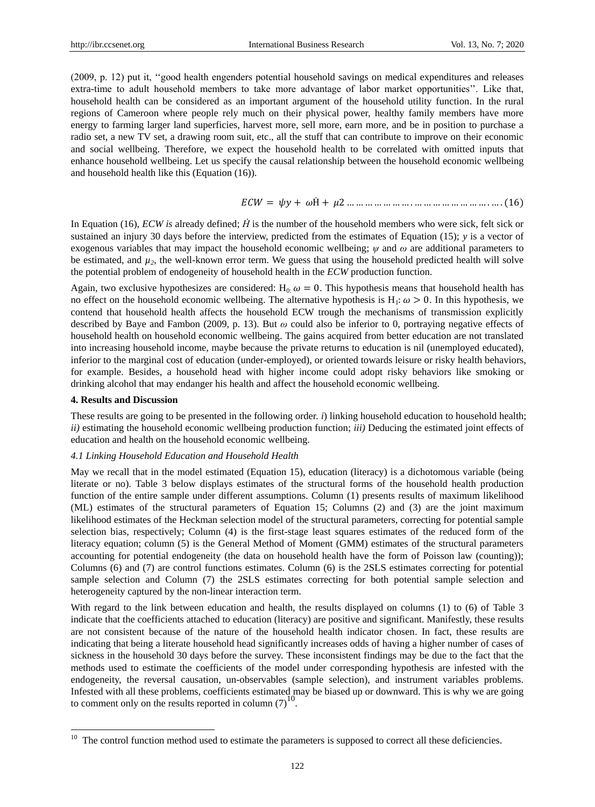(2009, p. 12) put it, ""good health engenders potential household savings on medical expenditures and releases extra-time to adult household members to take more advantage of labor market opportunities". Like that, household health can be considered as an important argument of the household utility function. In the rural regions of Cameroon where people rely much on their physical power, healthy family members have more energy to farming larger land superficies, harvest more, sell more, earn more, and be in position to purchase a radio set, a new TV set, a drawing room suit, etc., all the stuff that can contribute to improve on their economic and social wellbeing. Therefore, we expect the household health to be correlated with omitted inputs that enhance household wellbeing. Let us specify the causal relationship between the household economic wellbeing and household health like this (Equation (16)).

$$
ECW = \psi y + \omega \dot{H} + \mu 2 \dots \dots \dots \dots \dots \dots \dots \dots \dots \dots \dots \dots \dots \dots \dots (16)
$$

In Equation (16), *ECW is* already defined; *H* is the number of the household members who were sick, felt sick or sustained an injury 30 days before the interview, predicted from the estimates of Equation (15); *y* is a vector of exogenous variables that may impact the household economic wellbeing; *ψ* and *ω* are additional parameters to be estimated, and  $\mu$ <sup>2</sup>, the well-known error term. We guess that using the household predicted health will solve the potential problem of endogeneity of household health in the *ECW* production function.

Again, two exclusive hypothesizes are considered:  $H_0$ :  $\omega = 0$ . This hypothesis means that household health has no effect on the household economic wellbeing. The alternative hypothesis is  $H_1: \omega > 0$ . In this hypothesis, we contend that household health affects the household ECW trough the mechanisms of transmission explicitly described by Baye and Fambon (2009, p. 13). But *ω* could also be inferior to 0, portraying negative effects of household health on household economic wellbeing. The gains acquired from better education are not translated into increasing household income, maybe because the private returns to education is nil (unemployed educated), inferior to the marginal cost of education (under-employed), or oriented towards leisure or risky health behaviors, for example. Besides, a household head with higher income could adopt risky behaviors like smoking or drinking alcohol that may endanger his health and affect the household economic wellbeing.

#### **4. Results and Discussion**

These results are going to be presented in the following order. *i*) linking household education to household health; *ii)* estimating the household economic wellbeing production function; *iii)* Deducing the estimated joint effects of education and health on the household economic wellbeing.

## *4.1 Linking Household Education and Household Health*

May we recall that in the model estimated (Equation 15), education (literacy) is a dichotomous variable (being literate or no). Table 3 below displays estimates of the structural forms of the household health production function of the entire sample under different assumptions. Column (1) presents results of maximum likelihood (ML) estimates of the structural parameters of Equation 15; Columns (2) and (3) are the joint maximum likelihood estimates of the Heckman selection model of the structural parameters, correcting for potential sample selection bias, respectively; Column (4) is the first-stage least squares estimates of the reduced form of the literacy equation; column (5) is the General Method of Moment (GMM) estimates of the structural parameters accounting for potential endogeneity (the data on household health have the form of Poisson law (counting)); Columns (6) and (7) are control functions estimates. Column (6) is the 2SLS estimates correcting for potential sample selection and Column (7) the 2SLS estimates correcting for both potential sample selection and heterogeneity captured by the non-linear interaction term.

With regard to the link between education and health, the results displayed on columns (1) to (6) of Table 3 indicate that the coefficients attached to education (literacy) are positive and significant. Manifestly, these results are not consistent because of the nature of the household health indicator chosen. In fact, these results are indicating that being a literate household head significantly increases odds of having a higher number of cases of sickness in the household 30 days before the survey. These inconsistent findings may be due to the fact that the methods used to estimate the coefficients of the model under corresponding hypothesis are infested with the endogeneity, the reversal causation, un-observables (sample selection), and instrument variables problems. Infested with all these problems, coefficients estimated may be biased up or downward. This is why we are going to comment only on the results reported in column  $(7)^{10}$ .

 $10\,$ The control function method used to estimate the parameters is supposed to correct all these deficiencies.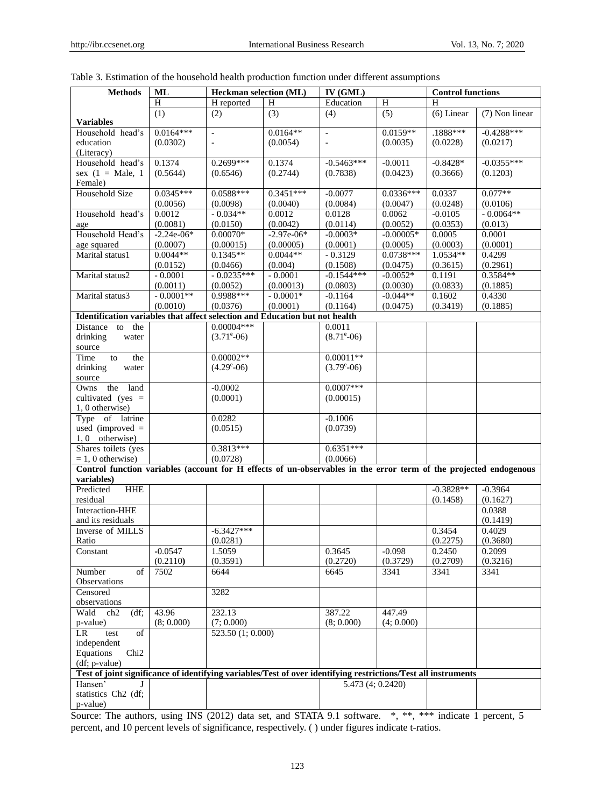| <b>Methods</b>                                                                                                    | <b>ML</b>        | <b>Heckman selection (ML)</b>              |                  | $\overline{\text{IV (GML)}}$          |                        | <b>Control functions</b> |                     |
|-------------------------------------------------------------------------------------------------------------------|------------------|--------------------------------------------|------------------|---------------------------------------|------------------------|--------------------------|---------------------|
|                                                                                                                   | Ĥ                | H reported                                 | H                | Education                             | $\overline{H}$         | H                        |                     |
|                                                                                                                   | $\overline{(1)}$ | (2)                                        | $\overline{(3)}$ | (4)                                   | $\overline{(5)}$       | $(6)$ Linear             | (7) Non linear      |
| <b>Variables</b>                                                                                                  | $0.0164***$      |                                            | $0.0164**$       |                                       |                        | $.1888***$               | $-0.4288***$        |
| Household head's<br>education                                                                                     | (0.0302)         | $\overline{\phantom{a}}$<br>$\overline{a}$ | (0.0054)         | $\bar{\phantom{a}}$<br>$\blacksquare$ | $0.0159**$<br>(0.0035) | (0.0228)                 | (0.0217)            |
| (Literacy)                                                                                                        |                  |                                            |                  |                                       |                        |                          |                     |
| Household head's                                                                                                  | 0.1374           | 0.2699***                                  | 0.1374           | $-0.5463***$                          | $-0.0011$              | $-0.8428*$               | $-0.0355***$        |
| sex $(1 = Male, 1)$                                                                                               | (0.5644)         | (0.6546)                                   | (0.2744)         | (0.7838)                              | (0.0423)               | (0.3666)                 | (0.1203)            |
| Female)                                                                                                           |                  |                                            |                  |                                       |                        |                          |                     |
| <b>Household Size</b>                                                                                             | $0.0345***$      | $0.0588***$                                | $0.3451***$      | $-0.0077$                             | $0.0336***$            | 0.0337                   | $0.077**$           |
|                                                                                                                   | (0.0056)         | (0.0098)                                   | (0.0040)         | (0.0084)                              | (0.0047)               | (0.0248)                 | (0.0106)            |
| Household head's                                                                                                  | 0.0012           | $-0.034**$                                 | 0.0012           | 0.0128                                | 0.0062                 | $-0.0105$                | $-0.0064**$         |
| age                                                                                                               | (0.0081)         | (0.0150)                                   | (0.0042)         | (0.0114)                              | (0.0052)               | (0.0353)                 | (0.013)             |
| Household Head's                                                                                                  | $-2.24e-06*$     | $0.00070*$                                 | $-2.97e-06*$     | $-0.0003*$                            | $-0.00005*$            | 0.0005                   | 0.0001              |
| age squared                                                                                                       | (0.0007)         | (0.00015)                                  | (0.00005)        | (0.0001)                              | (0.0005)               | (0.0003)                 | (0.0001)            |
| Marital status1                                                                                                   | $0.0044**$       | $0.1345**$                                 | $0.0044**$       | $-0.3129$                             | $0.0738***$            | $1.0534**$               | 0.4299              |
|                                                                                                                   | (0.0152)         | (0.0466)                                   | (0.004)          | (0.1508)                              | (0.0475)               | (0.3615)                 | (0.2961)            |
| Marital status2                                                                                                   | $-0.0001$        | $-0.0235***$                               | $-0.0001$        | $-0.1544***$                          | $-0.0052*$             | 0.1191                   | $0.3584**$          |
|                                                                                                                   | (0.0011)         | (0.0052)                                   | (0.00013)        | (0.0803)                              | (0.0030)               | (0.0833)                 | (0.1885)            |
| Marital status3                                                                                                   | $-0.0001**$      | 0.9988***                                  | $-0.0001*$       | $-0.1164$                             | $-0.044**$             | 0.1602                   | 0.4330              |
|                                                                                                                   | (0.0010)         | (0.0376)                                   | (0.0001)         | (0.1164)                              | (0.0475)               | (0.3419)                 | (0.1885)            |
| Identification variables that affect selection and Education but not health                                       |                  | $0.00004***$                               |                  |                                       |                        |                          |                     |
| Distance<br>the<br>to                                                                                             |                  |                                            |                  | 0.0011                                |                        |                          |                     |
| drinking<br>water                                                                                                 |                  | $(3.71^{\circ} - 06)$                      |                  | $(8.71^{\circ} - 06)$                 |                        |                          |                     |
| source<br>Time<br>the<br>to                                                                                       |                  | $0.00002**$                                |                  | $0.00011**$                           |                        |                          |                     |
| drinking<br>water                                                                                                 |                  | $(4.29^{\circ} - 06)$                      |                  | $(3.79^{\circ} - 06)$                 |                        |                          |                     |
| source                                                                                                            |                  |                                            |                  |                                       |                        |                          |                     |
| land<br>Owns<br>the                                                                                               |                  | $-0.0002$                                  |                  | $0.0007***$                           |                        |                          |                     |
| cultivated (yes $=$                                                                                               |                  | (0.0001)                                   |                  | (0.00015)                             |                        |                          |                     |
| 1, 0 otherwise)                                                                                                   |                  |                                            |                  |                                       |                        |                          |                     |
| Type of latrine                                                                                                   |                  | 0.0282                                     |                  | $-0.1006$                             |                        |                          |                     |
| used (improved $=$                                                                                                |                  | (0.0515)                                   |                  | (0.0739)                              |                        |                          |                     |
| 1,0 otherwise)                                                                                                    |                  |                                            |                  |                                       |                        |                          |                     |
| Shares toilets (yes                                                                                               |                  | $0.3813***$                                |                  | $0.6351***$                           |                        |                          |                     |
| $= 1, 0$ otherwise)                                                                                               |                  | (0.0728)                                   |                  | (0.0066)                              |                        |                          |                     |
| Control function variables (account for H effects of un-observables in the error term of the projected endogenous |                  |                                            |                  |                                       |                        |                          |                     |
| variables)                                                                                                        |                  |                                            |                  |                                       |                        |                          |                     |
| <b>HHE</b><br>Predicted                                                                                           |                  |                                            |                  |                                       |                        | $-0.3828**$              | $-0.3964$           |
| residual                                                                                                          |                  |                                            |                  |                                       |                        | (0.1458)                 | (0.1627)            |
| Interaction-HHE                                                                                                   |                  |                                            |                  |                                       |                        |                          | 0.0388              |
| and its residuals                                                                                                 |                  |                                            |                  |                                       |                        |                          | (0.1419)            |
| Inverse of MILLS                                                                                                  |                  | $-6.3427***$                               |                  |                                       |                        | 0.3454                   | 0.4029              |
| Ratio                                                                                                             |                  | (0.0281)                                   |                  |                                       |                        | (0.2275)                 | (0.3680)            |
| Constant                                                                                                          | $-0.0547$        | 1.5059                                     |                  | 0.3645                                | $-0.098$               | 0.2450                   | $0.\overline{2099}$ |
|                                                                                                                   | (0.2110)         | (0.3591)                                   |                  | (0.2720)                              | (0.3729)               | (0.2709)                 | (0.3216)            |
| Number<br>of                                                                                                      | 7502             | 6644                                       |                  | 6645                                  | 3341                   | 3341                     | 3341                |
| <b>Observations</b>                                                                                               |                  |                                            |                  |                                       |                        |                          |                     |
| Censored                                                                                                          |                  | 3282                                       |                  |                                       |                        |                          |                     |
| observations                                                                                                      |                  |                                            |                  |                                       |                        |                          |                     |
| (df;<br>Wald<br>ch2                                                                                               | 43.96            | 232.13                                     |                  | 387.22                                | 447.49                 |                          |                     |
| p-value)                                                                                                          | (8; 0.000)       | (7; 0.000)                                 |                  | (8; 0.000)                            | (4; 0.000)             |                          |                     |
| <b>LR</b><br>test<br>of                                                                                           |                  | 523.50(1; 0.000)                           |                  |                                       |                        |                          |                     |
| independent                                                                                                       |                  |                                            |                  |                                       |                        |                          |                     |
| Equations<br>Chi <sub>2</sub>                                                                                     |                  |                                            |                  |                                       |                        |                          |                     |
| (df; p-value)                                                                                                     |                  |                                            |                  |                                       |                        |                          |                     |
| Test of joint significance of identifying variables/Test of over identifying restrictions/Test all instruments    |                  |                                            |                  |                                       |                        |                          |                     |
| Hansen'                                                                                                           |                  |                                            |                  | 5.473 (4; 0.2420)                     |                        |                          |                     |
| statistics Ch2 (df;                                                                                               |                  |                                            |                  |                                       |                        |                          |                     |
| p-value)                                                                                                          |                  |                                            |                  |                                       |                        |                          |                     |

Source: The authors, using INS (2012) data set, and STATA 9.1 software. \*, \*\*, \*\*\* indicate 1 percent, 5 percent, and 10 percent levels of significance, respectively. ( ) under figures indicate t-ratios.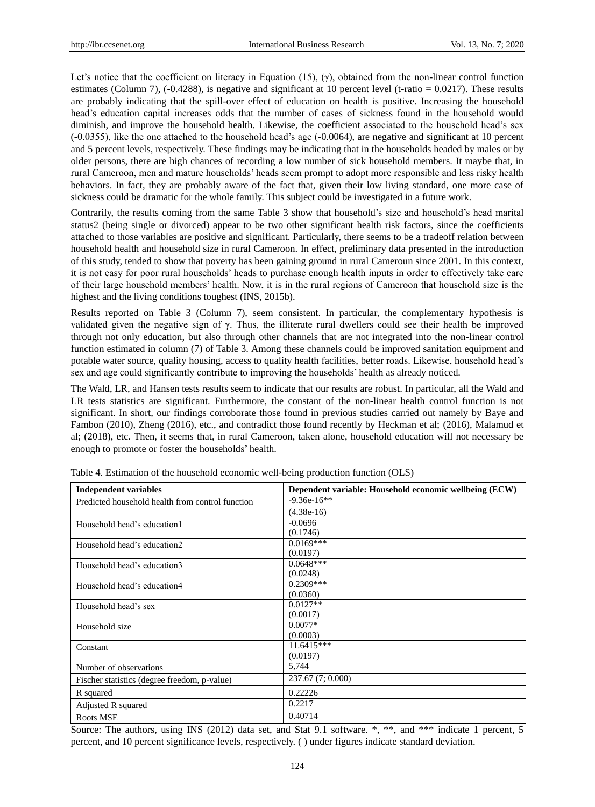Let's notice that the coefficient on literacy in Equation (15), (γ), obtained from the non-linear control function estimates (Column 7), (-0.4288), is negative and significant at 10 percent level (t-ratio =  $0.0217$ ). These results are probably indicating that the spill-over effect of education on health is positive. Increasing the household head"s education capital increases odds that the number of cases of sickness found in the household would diminish, and improve the household health. Likewise, the coefficient associated to the household head"s sex (-0.0355), like the one attached to the household head"s age (-0.0064), are negative and significant at 10 percent and 5 percent levels, respectively. These findings may be indicating that in the households headed by males or by older persons, there are high chances of recording a low number of sick household members. It maybe that, in rural Cameroon, men and mature households" heads seem prompt to adopt more responsible and less risky health behaviors. In fact, they are probably aware of the fact that, given their low living standard, one more case of sickness could be dramatic for the whole family. This subject could be investigated in a future work.

Contrarily, the results coming from the same Table 3 show that household"s size and household"s head marital status2 (being single or divorced) appear to be two other significant health risk factors, since the coefficients attached to those variables are positive and significant. Particularly, there seems to be a tradeoff relation between household health and household size in rural Cameroon. In effect, preliminary data presented in the introduction of this study, tended to show that poverty has been gaining ground in rural Cameroun since 2001. In this context, it is not easy for poor rural households" heads to purchase enough health inputs in order to effectively take care of their large household members" health. Now, it is in the rural regions of Cameroon that household size is the highest and the living conditions toughest (INS, 2015b).

Results reported on Table 3 (Column 7), seem consistent. In particular, the complementary hypothesis is validated given the negative sign of γ. Thus, the illiterate rural dwellers could see their health be improved through not only education, but also through other channels that are not integrated into the non-linear control function estimated in column (7) of Table 3. Among these channels could be improved sanitation equipment and potable water source, quality housing, access to quality health facilities, better roads. Likewise, household head"s sex and age could significantly contribute to improving the households" health as already noticed.

The Wald, LR, and Hansen tests results seem to indicate that our results are robust. In particular, all the Wald and LR tests statistics are significant. Furthermore, the constant of the non-linear health control function is not significant. In short, our findings corroborate those found in previous studies carried out namely by Baye and Fambon (2010), Zheng (2016), etc., and contradict those found recently by Heckman et al; (2016), Malamud et al; (2018), etc. Then, it seems that, in rural Cameroon, taken alone, household education will not necessary be enough to promote or foster the households" health.

| <b>Independent variables</b>                     | Dependent variable: Household economic wellbeing (ECW) |
|--------------------------------------------------|--------------------------------------------------------|
| Predicted household health from control function | $-9.36e-16**$                                          |
|                                                  | $(4.38e-16)$                                           |
| Household head's education1                      | $-0.0696$                                              |
|                                                  | (0.1746)                                               |
| Household head's education2                      | $0.0169***$                                            |
|                                                  | (0.0197)                                               |
| Household head's education3                      | $0.0648***$                                            |
|                                                  | (0.0248)                                               |
| Household head's education4                      | $0.2309***$                                            |
|                                                  | (0.0360)                                               |
| Household head's sex                             | $0.0127**$                                             |
|                                                  | (0.0017)                                               |
| Household size                                   | $0.0077*$                                              |
|                                                  | (0.0003)                                               |
| Constant                                         | 11.6415***                                             |
|                                                  | (0.0197)                                               |
| Number of observations                           | 5,744                                                  |
| Fischer statistics (degree freedom, p-value)     | 237.67 (7; 0.000)                                      |
| R squared                                        | 0.22226                                                |
| Adjusted R squared                               | 0.2217                                                 |
| Roots MSE                                        | 0.40714                                                |

Table 4. Estimation of the household economic well-being production function (OLS)

Source: The authors, using INS (2012) data set, and Stat 9.1 software. \*, \*\*, and \*\*\* indicate 1 percent, 5 percent, and 10 percent significance levels, respectively. ( ) under figures indicate standard deviation.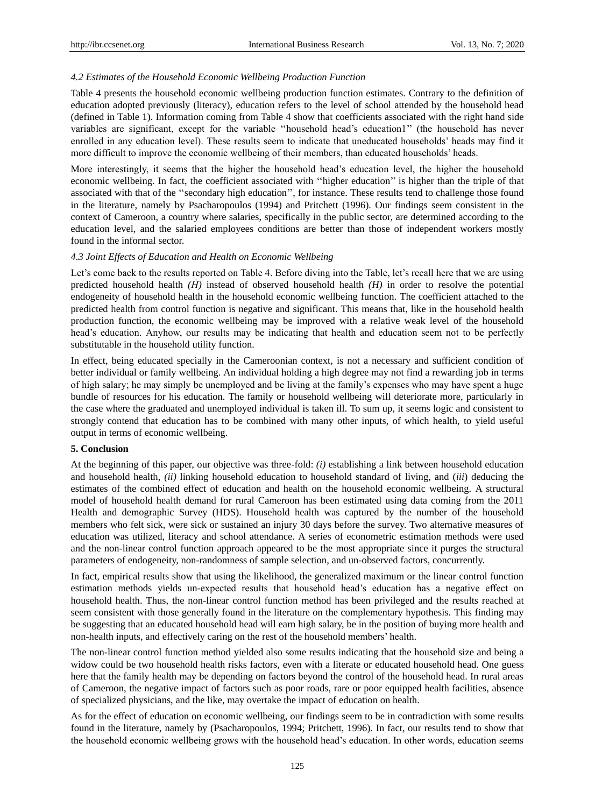## *4.2 Estimates of the Household Economic Wellbeing Production Function*

Table 4 presents the household economic wellbeing production function estimates. Contrary to the definition of education adopted previously (literacy), education refers to the level of school attended by the household head (defined in Table 1). Information coming from Table 4 show that coefficients associated with the right hand side variables are significant, except for the variable "household head's education1" (the household has never enrolled in any education level). These results seem to indicate that uneducated households" heads may find it more difficult to improve the economic wellbeing of their members, than educated households" heads.

More interestingly, it seems that the higher the household head"s education level, the higher the household economic wellbeing. In fact, the coefficient associated with ""higher education"" is higher than the triple of that associated with that of the ""secondary high education"", for instance. These results tend to challenge those found in the literature, namely by Psacharopoulos (1994) and Pritchett (1996). Our findings seem consistent in the context of Cameroon, a country where salaries, specifically in the public sector, are determined according to the education level, and the salaried employees conditions are better than those of independent workers mostly found in the informal sector.

## *4.3 Joint Effects of Education and Health on Economic Wellbeing*

Let's come back to the results reported on Table 4. Before diving into the Table, let's recall here that we are using predicted household health  $(\hat{H})$  instead of observed household health  $(H)$  in order to resolve the potential endogeneity of household health in the household economic wellbeing function. The coefficient attached to the predicted health from control function is negative and significant. This means that, like in the household health production function, the economic wellbeing may be improved with a relative weak level of the household head's education. Anyhow, our results may be indicating that health and education seem not to be perfectly substitutable in the household utility function.

In effect, being educated specially in the Cameroonian context, is not a necessary and sufficient condition of better individual or family wellbeing. An individual holding a high degree may not find a rewarding job in terms of high salary; he may simply be unemployed and be living at the family"s expenses who may have spent a huge bundle of resources for his education. The family or household wellbeing will deteriorate more, particularly in the case where the graduated and unemployed individual is taken ill. To sum up, it seems logic and consistent to strongly contend that education has to be combined with many other inputs, of which health, to yield useful output in terms of economic wellbeing.

## **5. Conclusion**

At the beginning of this paper, our objective was three-fold: *(i)* establishing a link between household education and household health, *(ii)* linking household education to household standard of living, and (*iii*) deducing the estimates of the combined effect of education and health on the household economic wellbeing. A structural model of household health demand for rural Cameroon has been estimated using data coming from the 2011 Health and demographic Survey (HDS). Household health was captured by the number of the household members who felt sick, were sick or sustained an injury 30 days before the survey. Two alternative measures of education was utilized, literacy and school attendance. A series of econometric estimation methods were used and the non-linear control function approach appeared to be the most appropriate since it purges the structural parameters of endogeneity, non-randomness of sample selection, and un-observed factors, concurrently.

In fact, empirical results show that using the likelihood, the generalized maximum or the linear control function estimation methods yields un-expected results that household head"s education has a negative effect on household health. Thus, the non-linear control function method has been privileged and the results reached at seem consistent with those generally found in the literature on the complementary hypothesis. This finding may be suggesting that an educated household head will earn high salary, be in the position of buying more health and non-health inputs, and effectively caring on the rest of the household members" health.

The non-linear control function method yielded also some results indicating that the household size and being a widow could be two household health risks factors, even with a literate or educated household head. One guess here that the family health may be depending on factors beyond the control of the household head. In rural areas of Cameroon, the negative impact of factors such as poor roads, rare or poor equipped health facilities, absence of specialized physicians, and the like, may overtake the impact of education on health.

As for the effect of education on economic wellbeing, our findings seem to be in contradiction with some results found in the literature, namely by (Psacharopoulos, 1994; Pritchett, 1996). In fact, our results tend to show that the household economic wellbeing grows with the household head"s education. In other words, education seems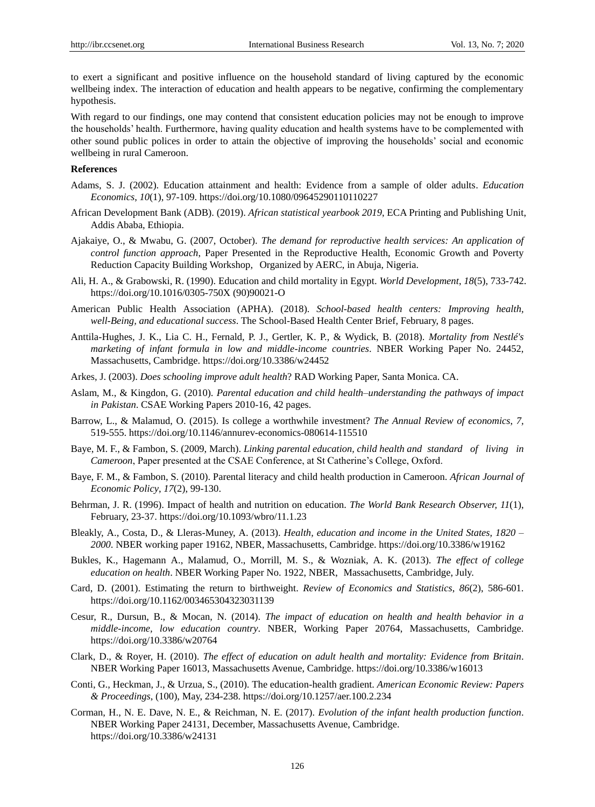to exert a significant and positive influence on the household standard of living captured by the economic wellbeing index. The interaction of education and health appears to be negative, confirming the complementary hypothesis.

With regard to our findings, one may contend that consistent education policies may not be enough to improve the households" health. Furthermore, having quality education and health systems have to be complemented with other sound public polices in order to attain the objective of improving the households" social and economic wellbeing in rural Cameroon.

# **References**

- Adams, S. J. (2002). Education attainment and health: Evidence from a sample of older adults. *Education Economics*, *10*(1), 97-109. https://doi.org/10.1080/09645290110110227
- African Development Bank (ADB). (2019). *African statistical yearbook 2019*, ECA Printing and Publishing Unit, Addis Ababa, Ethiopia.
- Ajakaiye, O., & Mwabu, G. (2007, October). *The demand for reproductive health services: An application of control function approach*, Paper Presented in the Reproductive Health, Economic Growth and Poverty Reduction Capacity Building Workshop, Organized by AERC, in Abuja, Nigeria.
- Ali, H. A., & Grabowski, R. (1990). Education and child mortality in Egypt. *World Development*, *18*(5), 733-742. https://doi.org/10.1016/0305-750X (90)90021-O
- American Public Health Association (APHA). (2018). *School-based health centers: Improving health, well-Being, and educational success*. The School-Based Health Center Brief, February, 8 pages.
- Anttila-Hughes, J. K., Lia C. H., Fernald, P. J., Gertler, K. P., & Wydick, B. (2018). *Mortality from Nestlé's marketing of infant formula in low and middle-income countries*. NBER Working Paper No. 24452, Massachusetts, Cambridge. https://doi.org/10.3386/w24452
- Arkes, J. (2003). *Does schooling improve adult health*? RAD Working Paper, Santa Monica. CA.
- Aslam, M., & Kingdon, G. (2010). *Parental education and child health–understanding the pathways of impact in Pakistan*. CSAE Working Papers 2010-16, 42 pages.
- Barrow, L., & Malamud, O. (2015). Is college a worthwhile investment? *The Annual Review of economics*, *7,*  519-555. https://doi.org/10.1146/annurev-economics-080614-115510
- Baye, M. F., & Fambon, S. (2009, March). *Linking parental education, child health and standard of living in*  Cameroon, Paper presented at the CSAE Conference, at St Catherine's College, Oxford.
- Baye, F. M., & Fambon, S. (2010). Parental literacy and child health production in Cameroon. *African Journal of Economic Policy*, *17*(2), 99-130.
- Behrman, J. R. (1996). Impact of health and nutrition on education. *The World Bank Research Observer, 11*(1), February, 23-37. https://doi.org/10.1093/wbro/11.1.23
- Bleakly, A., Costa, D., & Lleras-Muney, A. (2013). *Health, education and income in the United States, 1820 – 2000*. NBER working paper 19162, NBER, Massachusetts, Cambridge. [https://doi.org/10.3386/w19162](about:blank)
- Bukles, K., Hagemann A., Malamud, O., Morrill, M. S., & Wozniak, A. K. (2013). *The effect of college education on health*. NBER Working Paper No. 1922, NBER, Massachusetts, Cambridge, July.
- Card, D. (2001). Estimating the return to birthweight. *Review of Economics and Statistics*, *86*(2), 586-601. [https://doi.org/10.1162/003465304323031139](about:blank)
- Cesur, R., Dursun, B., & Mocan, N. (2014). *The impact of education on health and health behavior in a middle-income, low education country*. NBER, Working Paper 20764, Massachusetts, Cambridge. [https://doi.org/10.3386/w20764](about:blank)
- Clark, D., & Royer, H. (2010). *The effect of education on adult health and mortality: Evidence from Britain*. NBER Working Paper 16013, Massachusetts Avenue, Cambridge. [https://doi.org/10.3386/w16013](about:blank)
- Conti, G., Heckman, J., & Urzua, S., (2010). The education-health gradient. *American Economic Review: Papers & Proceedings*, (100), May, 234-238. [https://doi.org/10.1257/aer.100.2.234](about:blank)
- Corman, H., N. E. Dave, N. E., & Reichman, N. E. (2017). *Evolution of the infant health production function*. NBER Working Paper 24131, December, Massachusetts Avenue, Cambridge. [https://doi.org/10.3386/w24131](about:blank)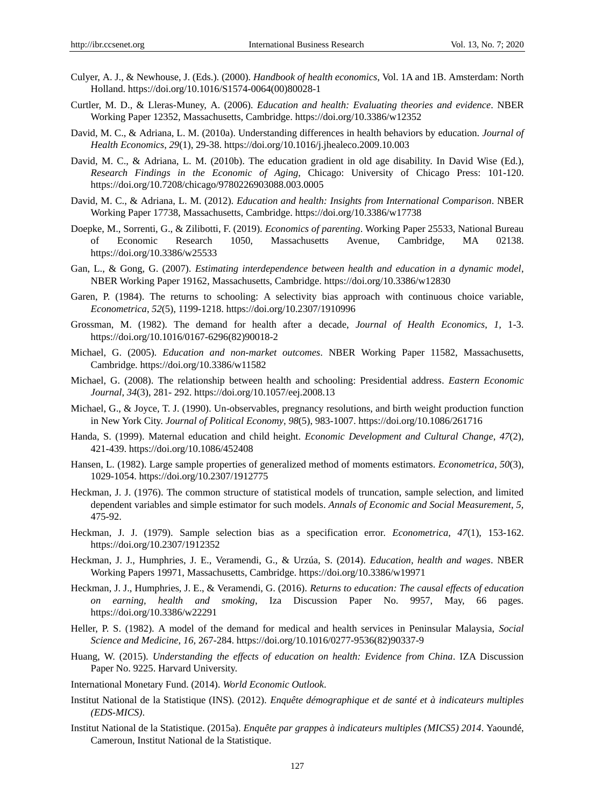- Culyer, A. J., & Newhouse, J. (Eds.). (2000). *Handbook of health economics*, Vol. 1A and 1B. Amsterdam: North Holland. [https://doi.org/10.1016/S1574-0064\(00\)80028-1](about:blank)
- Curtler, M. D., & Lleras-Muney, A. (2006). *Education and health: Evaluating theories and evidence*. NBER Working Paper 12352, Massachusetts, Cambridge[. https://doi.org/10.3386/w12352](about:blank)
- David, M. C., & Adriana, L. M. (2010a). Understanding differences in health behaviors by education. *Journal of Health Economics*, *29*(1), 29-38[. https://doi.org/10.1016/j.jhealeco.2009.10.003](about:blank)
- David, M. C., & Adriana, L. M. (2010b). The education gradient in old age disability. In David Wise (Ed.), *Research Findings in the Economic of Aging*, Chicago: University of Chicago Press: 101-120. [https://doi.org/10.7208/chicago/9780226903088.003.0005](about:blank)
- David, M. C., & Adriana, L. M. (2012). *Education and health: Insights from International Comparison*. NBER Working Paper 17738, Massachusetts, Cambridge[. https://doi.org/10.3386/w17738](about:blank)
- Doepke, M., Sorrenti, G., & Zilibotti, F. (2019). *Economics of parenting*. Working Paper 25533, National Bureau of Economic Research 1050, Massachusetts Avenue, Cambridge, MA 02138. [https://doi.org/10.3386/w25533](about:blank)
- Gan, L., & Gong, G. (2007). *Estimating interdependence between health and education in a dynamic model*, NBER Working Paper 19162, Massachusetts, Cambridge[. https://doi.org/10.3386/w12830](about:blank)
- Garen, P. (1984). The returns to schooling: A selectivity bias approach with continuous choice variable, *Econometrica*, *52*(5), 1199-1218[. https://doi.org/10.2307/1910996](about:blank)
- Grossman, M. (1982). The demand for health after a decade, *Journal of Health Economics*, *1,* 1-3. [https://doi.org/10.1016/0167-6296\(82\)90018-2](about:blank)
- Michael, G. (2005). *Education and non-market outcomes*. NBER Working Paper 11582, Massachusetts, Cambridge. [https://doi.org/10.3386/w11582](about:blank)
- Michael, G. (2008). The relationship between health and schooling: Presidential address. *Eastern Economic Journal*, *34*(3), 281- 292[. https://doi.org/10.1057/eej.2008.13](about:blank)
- Michael, G., & Joyce, T. J. (1990). Un-observables, pregnancy resolutions, and birth weight production function in New York City. *Journal of Political Economy*, *98*(5), 983-1007. [https://doi.org/10.1086/261716](about:blank)
- Handa, S. (1999). Maternal education and child height. *Economic Development and Cultural Change*, *47*(2), 421-439. [https://doi.org/10.1086/452408](about:blank)
- Hansen, L. (1982). Large sample properties of generalized method of moments estimators. *Econometrica*, *50*(3), 1029-1054. [https://doi.org/10.2307/1912775](about:blank)
- Heckman, J. J. (1976). The common structure of statistical models of truncation, sample selection, and limited dependent variables and simple estimator for such models. *Annals of Economic and Social Measurement*, *5,*  475-92.
- Heckman, J. J. (1979). Sample selection bias as a specification error. *Econometrica*, *47*(1), 153-162. [https://doi.org/10.2307/1912352](about:blank)
- Heckman, J. J., Humphries, J. E., Veramendi, G., & Urzúa, S. (2014). *Education, health and wages*. NBER Working Papers 19971, Massachusetts, Cambridge. [https://doi.org/10.3386/w19971](about:blank)
- Heckman, J. J., Humphries, J. E., & Veramendi, G. (2016). *Returns to education: The causal effects of education on earning, health and smoking*, Iza Discussion Paper No. 9957, May, 66 pages. [https://doi.org/10.3386/w22291](about:blank)
- Heller, P. S. (1982). A model of the demand for medical and health services in Peninsular Malaysia, *Social Science and Medicine*, *16,* 267-284. [https://doi.org/10.1016/0277-9536\(82\)90337-9](about:blank)
- Huang, W. (2015). *Understanding the effects of education on health: Evidence from China*. IZA Discussion Paper No. 9225. Harvard University.
- International Monetary Fund. (2014). *World Economic Outlook*.
- Institut National de la Statistique (INS). (2012). *Enquête démographique et de santé et à indicateurs multiples (EDS-MICS)*.
- Institut National de la Statistique. (2015a). *Enquête par grappes à indicateurs multiples (MICS5) 2014*. Yaoundé, Cameroun, Institut National de la Statistique.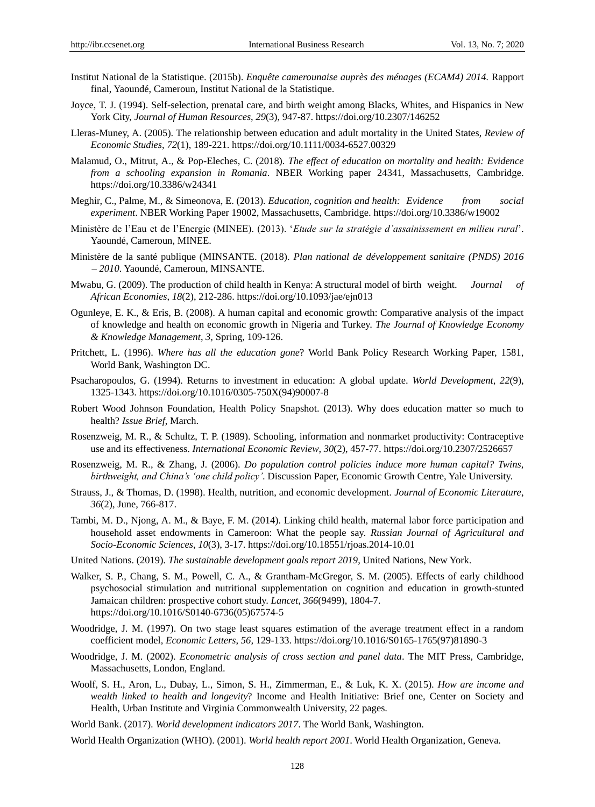- Institut National de la Statistique. (2015b). *Enquête camerounaise auprès des ménages (ECAM4) 2014.* Rapport final, Yaoundé, Cameroun, Institut National de la Statistique.
- Joyce, T. J. (1994). Self-selection, prenatal care, and birth weight among Blacks, Whites, and Hispanics in New York City, *Journal of Human Resources*, *29*(3), 947-87. [https://doi.org/10.2307/146252](about:blank)
- Lleras-Muney, A. (2005). The relationship between education and adult mortality in the United States, *Review of Economic Studies*, *72*(1), 189-221. [https://doi.org/10.1111/0034-6527.00329](about:blank)
- Malamud, O., Mitrut, A., & Pop-Eleches, C. (2018). *The effect of education on mortality and health: Evidence from a schooling expansion in Romania*. NBER Working paper 24341, Massachusetts, Cambridge. [https://doi.org/10.3386/w24341](about:blank)
- Meghir, C., Palme, M., & Simeonova, E. (2013). *Education, cognition and health: Evidence from social experiment*. NBER Working Paper 19002, Massachusetts, Cambridge. [https://doi.org/10.3386/w19002](about:blank)
- Ministère de l"Eau et de l"Energie (MINEE). (2013). "*Etude sur la stratégie d'assainissement en milieu rural*". Yaoundé, Cameroun, MINEE.
- Ministère de la santé publique (MINSANTE. (2018). *Plan national de développement sanitaire (PNDS) 2016 – 2010*. Yaoundé, Cameroun, MINSANTE.
- Mwabu, G. (2009). The production of child health in Kenya: A structural model of birth weight. *Journal of African Economies*, *18*(2), 212-286. [https://doi.org/10.1093/jae/ejn013](about:blank)
- Ogunleye, E. K., & Eris, B. (2008). A human capital and economic growth: Comparative analysis of the impact of knowledge and health on economic growth in Nigeria and Turkey. *The Journal of Knowledge Economy & Knowledge Management*, *3,* Spring, 109-126.
- Pritchett, L. (1996). *Where has all the education gone*? World Bank Policy Research Working Paper, 1581, World Bank, Washington DC.
- Psacharopoulos, G. (1994). Returns to investment in education: A global update. *World Development*, *22*(9), 1325-1343. [https://doi.org/10.1016/0305-750X\(94\)90007-8](about:blank)
- Robert Wood Johnson Foundation, Health Policy Snapshot. (2013). Why does education matter so much to health? *Issue Brief*, March.
- Rosenzweig, M. R., & Schultz, T. P. (1989). Schooling, information and nonmarket productivity: Contraceptive use and its effectiveness. *International Economic Review*, *30*(2), 457-77. https://doi.org/10.2307/2526657
- Rosenzweig, M. R., & Zhang, J. (2006). *Do population control policies induce more human capital? Twins, birthweight, and China's 'one child policy'*. Discussion Paper, Economic Growth Centre, Yale University.
- Strauss, J., & Thomas, D. (1998). Health, nutrition, and economic development. *Journal of Economic Literature*, *36*(2), June, 766-817.
- Tambi, M. D., Njong, A. M., & Baye, F. M. (2014). Linking child health, maternal labor force participation and household asset endowments in Cameroon: What the people say. *Russian Journal of Agricultural and Socio-Economic Sciences*, *10*(3), 3-17. [https://doi.org/10.18551/rjoas.2014-10.01](about:blank)
- United Nations. (2019). *The sustainable development goals report 2019*, United Nations, New York.
- Walker, S. P., Chang, S. M., Powell, C. A., & Grantham-McGregor, S. M. (2005). Effects of early childhood psychosocial stimulation and nutritional supplementation on cognition and education in growth-stunted Jamaican children: prospective cohort study. *Lancet*, *366*(9499), 1804-7. [https://doi.org/10.1016/S0140-6736\(05\)67574-5](about:blank)
- Woodridge, J. M. (1997). On two stage least squares estimation of the average treatment effect in a random coefficient model, *Economic Letters*, *56,* 129-133[. https://doi.org/10.1016/S0165-1765\(97\)81890-3](about:blank)
- Woodridge, J. M. (2002). *Econometric analysis of cross section and panel data*. The MIT Press, Cambridge, Massachusetts, London, England.
- Woolf, S. H., Aron, L., Dubay, L., Simon, S. H., Zimmerman, E., & Luk, K. X. (2015). *How are income and wealth linked to health and longevity*? Income and Health Initiative: Brief one, Center on Society and Health, Urban Institute and Virginia Commonwealth University, 22 pages.
- World Bank. (2017). *World development indicators 2017*. The World Bank, Washington.
- World Health Organization (WHO). (2001). *World health report 2001*. World Health Organization, Geneva.